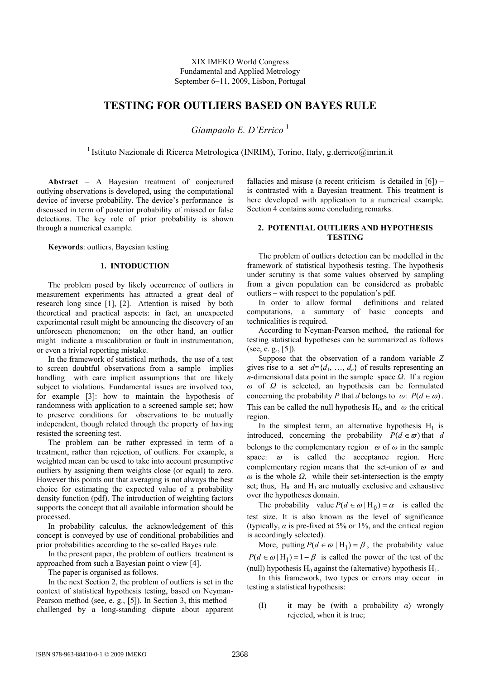XIX IMEKO World Congress Fundamental and Applied Metrology September 6−11, 2009, Lisbon, Portugal

# **TESTING FOR OUTLIERS BASED ON BAYES RULE**

*Giampaolo E. D'Errico* <sup>1</sup>

<sup>1</sup> Istituto Nazionale di Ricerca Metrologica (INRIM), Torino, Italy, g.derrico@inrim.it

**Abstract** − A Bayesian treatment of conjectured outlying observations is developed, using the computational device of inverse probability. The device's performance is discussed in term of posterior probability of missed or false detections. The key role of prior probability is shown through a numerical example.

**Keywords**: outliers, Bayesian testing

## **1. INTODUCTION**

The problem posed by likely occurrence of outliers in measurement experiments has attracted a great deal of research long since [1], [2]. Attention is raised by both theoretical and practical aspects: in fact, an unexpected experimental result might be announcing the discovery of an unforeseen phenomenon; on the other hand, an outlier might indicate a miscalibration or fault in instrumentation, or even a trivial reporting mistake.

In the framework of statistical methods, the use of a test to screen doubtful observations from a sample implies handling with care implicit assumptions that are likely subject to violations. Fundamental issues are involved too, for example [3]: how to maintain the hypothesis of randomness with application to a screened sample set; how to preserve conditions for observations to be mutually independent, though related through the property of having resisted the screening test.

The problem can be rather expressed in term of a treatment, rather than rejection, of outliers. For example, a weighted mean can be used to take into account presumptive outliers by assigning them weights close (or equal) to zero. However this points out that averaging is not always the best choice for estimating the expected value of a probability density function (pdf). The introduction of weighting factors supports the concept that all available information should be processed.

In probability calculus, the acknowledgement of this concept is conveyed by use of conditional probabilities and prior probabilities according to the so-called Bayes rule.

In the present paper, the problem of outliers treatment is approached from such a Bayesian point o view [4].

The paper is organised as follows.

In the next Section 2, the problem of outliers is set in the context of statistical hypothesis testing, based on Neyman-Pearson method (see, e. g., [5]). In Section 3, this method – challenged by a long-standing dispute about apparent fallacies and misuse (a recent criticism is detailed in  $[6]$ ) – is contrasted with a Bayesian treatment. This treatment is here developed with application to a numerical example. Section 4 contains some concluding remarks.

## **2. POTENTIAL OUTLIERS AND HYPOTHESIS TESTING**

The problem of outliers detection can be modelled in the framework of statistical hypothesis testing. The hypothesis under scrutiny is that some values observed by sampling from a given population can be considered as probable outliers – with respect to the population's pdf.

In order to allow formal definitions and related computations, a summary of basic concepts and technicalities is required.

According to Neyman-Pearson method, the rational for testing statistical hypotheses can be summarized as follows (see, e. g., [5]).

Suppose that the observation of a random variable *Z* gives rise to a set  $d = \{d_1, ..., d_n\}$  of results representing an *n*-dimensional data point in the sample space *Ω*. If a region *ω* of *Ω* is selected, an hypothesis can be formulated concerning the probability *P* that *d* belongs to  $\omega$ :  $P(d \in \omega)$ . This can be called the null hypothesis  $H_0$ , and  $\omega$  the critical region.

In the simplest term, an alternative hypothesis  $H_1$  is introduced, concerning the probability  $P(d \in \varpi)$  that *d* belongs to the complementary region  $\varpi$  of  $\omega$  in the sample space:  $\varpi$  is called the acceptance region. Here complementary region means that the set-union of  $\varpi$  and  $\omega$  is the whole  $\Omega$ , while their set-intersection is the empty set; thus,  $H_0$  and  $H_1$  are mutually exclusive and exhaustive over the hypotheses domain.

The probability value  $P(d \in \omega | H_0) = \alpha$  is called the test size. It is also known as the level of significance (typically,  $\alpha$  is pre-fixed at 5% or 1%, and the critical region is accordingly selected).

More, putting  $P(d \in \varpi | H_1) = \beta$ , the probability value  $P(d \in \omega | H_1) = 1 - \beta$  is called the power of the test of the (null) hypothesis  $H_0$  against the (alternative) hypothesis  $H_1$ .

In this framework, two types or errors may occur in testing a statistical hypothesis:

(I) it may be (with a probability *α*) wrongly rejected, when it is true;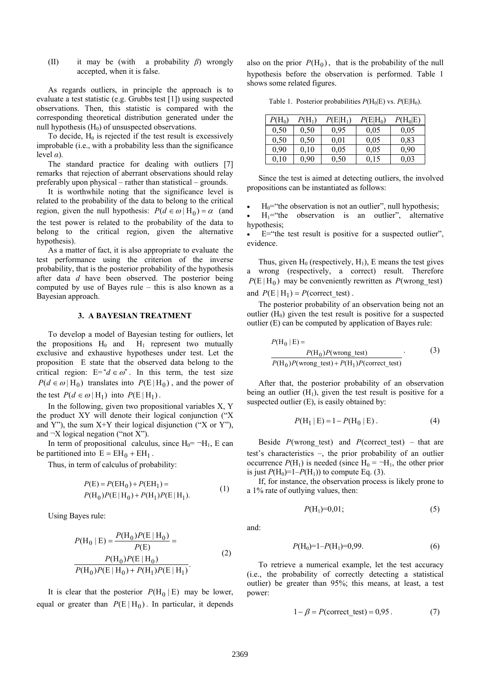(II) it may be (with a probability *β*) wrongly accepted, when it is false.

As regards outliers, in principle the approach is to evaluate a test statistic (e.g. Grubbs test [1]) using suspected observations. Then, this statistic is compared with the corresponding theoretical distribution generated under the null hypothesis  $(H_0)$  of unsuspected observations.

To decide,  $H_0$  is rejected if the test result is excessively improbable (i.e., with a probability less than the significance level *α*).

The standard practice for dealing with outliers [7] remarks that rejection of aberrant observations should relay preferably upon physical – rather than statistical – grounds.

It is worthwhile noting that the significance level is related to the probability of the data to belong to the critical region, given the null hypothesis:  $P(d \in \omega | H_0) = \alpha$  (and the test power is related to the probability of the data to belong to the critical region, given the alternative hypothesis).

As a matter of fact, it is also appropriate to evaluate the test performance using the criterion of the inverse probability, that is the posterior probability of the hypothesis after data *d* have been observed. The posterior being computed by use of Bayes rule – this is also known as a Bayesian approach.

## **3. A BAYESIAN TREATMENT**

To develop a model of Bayesian testing for outliers, let the propositions  $H_0$  and  $H_1$  represent two mutually exclusive and exhaustive hypotheses under test. Let the proposition E state that the observed data belong to the critical region:  $E = d \in \omega$ ". In this term, the test size  $P(d \in \omega | H_0)$  translates into  $P(E | H_0)$ , and the power of the test  $P(d \in \omega | H_1)$  into  $P(E | H_1)$ .

In the following, given two propositional variables X, Y the product XY will denote their logical conjunction ("X and Y"), the sum  $X+Y$  their logical disjunction ("X or Y"), and  $\neg X$  logical negation ("not X").

In term of propositional calculus, since  $H_0 = \neg H_1$ , E can be partitioned into  $E = EH_0 + EH_1$ .

Thus, in term of calculus of probability:

$$
P(E) = P(EH_0) + P(EH_1) =
$$
  
\n
$$
P(H_0)P(E|H_0) + P(H_1)P(E|H_1).
$$
\n(1)

Using Bayes rule:

$$
P(H_0 | E) = \frac{P(H_0)P(E | H_0)}{P(E)} =
$$
  
\n
$$
\frac{P(H_0)P(E | H_0)}{P(H_0)P(E | H_0) + P(H_1)P(E | H_1)}.
$$
\n(2)

It is clear that the posterior  $P(H_0 | E)$  may be lower, equal or greater than  $P(E | H_0)$ . In particular, it depends

also on the prior  $P(H_0)$ , that is the probability of the null hypothesis before the observation is performed. Table 1 shows some related figures.

Table 1. Posterior probabilities  $P(H_0|E)$  vs.  $P(E|H_0)$ .

| $P(\mathrm{H_0})$ | $P(H_1)$ | $P(E H_1)$ | $P(E H_0)$ | $P(H_0 E)$ |
|-------------------|----------|------------|------------|------------|
| 0,50              | 0.50     | 0.95       | 0.05       | 0.05       |
| 0,50              | 0.50     | 0.01       | 0.05       | 0.83       |
| 0,90              | 0.10     | 0.05       | 0.05       | 0.90       |
| 0,10              | 0,90     | 0,50       | 0,15       | 0,03       |

Since the test is aimed at detecting outliers, the involved propositions can be instantiated as follows:

 $H_0$ ="the observation is not an outlier", null hypothesis;

 $H_1$ ="the observation is an outlier", alternative hypothesis;

 $\bullet$  E="the test result is positive for a suspected outlier", evidence.

and  $P(E | H_1) = P(\text{correct\_test})$ . Thus, given  $H_0$  (respectively,  $H_1$ ), E means the test gives a wrong (respectively, a correct) result. Therefore  $P(E | H_0)$  may be conveniently rewritten as  $P(\text{wrong\_test})$ 

The posterior probability of an observation being not an outlier  $(H<sub>0</sub>)$  given the test result is positive for a suspected outlier (E) can be computed by application of Bayes rule:

$$
P(H_0 | E) =
$$
  
\n
$$
P(H_0)P(\text{wrong\_test})
$$
 (3)  
\n
$$
P(H_0)P(\text{wrong\_test}) + P(H_1)P(\text{correct\_test})
$$

After that, the posterior probability of an observation being an outlier  $(H_1)$ , given the test result is positive for a suspected outlier (E), is easily obtained by:

$$
P(H_1 | E) = 1 - P(H_0 | E).
$$
 (4)

Beside  $P(\text{wrong} \text{ test})$  and  $P(\text{correct} \text{ test})$  – that are test's characteristics –, the prior probability of an outlier occurrence  $P(H_1)$  is needed (since  $H_0 = \neg H_1$ , the other prior is just  $P(H_0)=1-P(H_1)$  to compute Eq. (3).

If, for instance, the observation process is likely prone to a 1% rate of outlying values, then:

$$
P(H_1)=0.01;
$$
 (5)

and:

$$
P(\mathrm{H}_0) = 1 - P(\mathrm{H}_1) = 0.99. \tag{6}
$$

To retrieve a numerical example, let the test accuracy (i.e., the probability of correctly detecting a statistical outlier) be greater than 95%; this means, at least, a test power:

$$
1 - \beta = P(\text{correct\_test}) = 0.95.
$$
 (7)